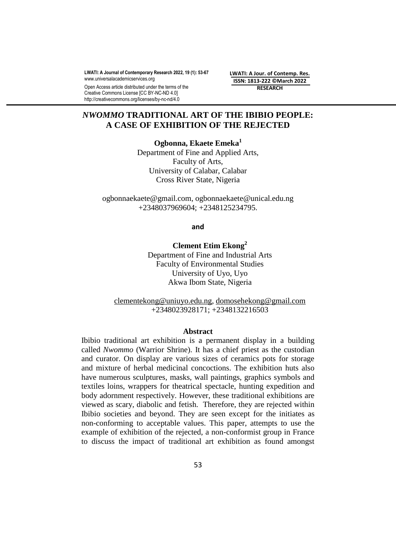**LWATI: A Journal of Contemporary Research 2022, 19 (1): 53-67** [www.universalacademicservices.org](http://www.universalacademicservices.org/)

Open Access article distributed under the terms of the Creative Commons License [CC BY-NC-ND 4.0] http://creativecommons.org/licenses/by-nc-nd/4.0

**LWATI: A Jour. of Contemp. Res. ISSN: 1813-222 ©March 2022 RESEARCH**

# *NWOMMO* **TRADITIONAL ART OF THE IBIBIO PEOPLE: A CASE OF EXHIBITION OF THE REJECTED**

**Ogbonna, Ekaete Emeka<sup>1</sup>** Department of Fine and Applied Arts, Faculty of Arts, University of Calabar, Calabar Cross River State, Nigeria

ogbonnaekaete@gmail.com, ogbonnaekaete@unical.edu.ng +2348037969604; +2348125234795.

**and**

**Clement Etim Ekong<sup>2</sup>** Department of Fine and Industrial Arts Faculty of Environmental Studies University of Uyo, Uyo Akwa Ibom State, Nigeria

[clementekong@uniuyo.edu.ng,](mailto:clementekong@uniuyo.edu.ng) [domosehekong@gmail.com](mailto:domosehekong@gmail.com) +2348023928171; +2348132216503

#### **Abstract**

Ibibio traditional art exhibition is a permanent display in a building called *Nwommo* (Warrior Shrine). It has a chief priest as the custodian and curator. On display are various sizes of ceramics pots for storage and mixture of herbal medicinal concoctions. The exhibition huts also have numerous sculptures, masks, wall paintings, graphics symbols and textiles loins, wrappers for theatrical spectacle, hunting expedition and body adornment respectively. However, these traditional exhibitions are viewed as scary, diabolic and fetish. Therefore, they are rejected within Ibibio societies and beyond. They are seen except for the initiates as non-conforming to acceptable values. This paper, attempts to use the example of exhibition of the rejected, a non-conformist group in France to discuss the impact of traditional art exhibition as found amongst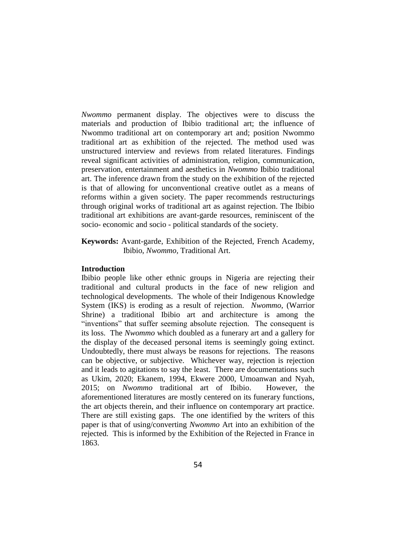*Nwommo* permanent display. The objectives were to discuss the materials and production of Ibibio traditional art; the influence of Nwommo traditional art on contemporary art and; position Nwommo traditional art as exhibition of the rejected. The method used was unstructured interview and reviews from related literatures. Findings reveal significant activities of administration, religion, communication, preservation, entertainment and aesthetics in *Nwommo* Ibibio traditional art. The inference drawn from the study on the exhibition of the rejected is that of allowing for unconventional creative outlet as a means of reforms within a given society. The paper recommends restructurings through original works of traditional art as against rejection. The Ibibio traditional art exhibitions are avant-garde resources, reminiscent of the socio- economic and socio - political standards of the society.

## **Keywords:** Avant-garde, Exhibition of the Rejected, French Academy, Ibibio, *Nwommo,* Traditional Art.

### **Introduction**

Ibibio people like other ethnic groups in Nigeria are rejecting their traditional and cultural products in the face of new religion and technological developments. The whole of their Indigenous Knowledge System (IKS) is eroding as a result of rejection. *Nwommo*, (Warrior Shrine) a traditional Ibibio art and architecture is among the "inventions" that suffer seeming absolute rejection. The consequent is its loss. The *Nwommo* which doubled as a funerary art and a gallery for the display of the deceased personal items is seemingly going extinct. Undoubtedly, there must always be reasons for rejections. The reasons can be objective, or subjective. Whichever way, rejection is rejection and it leads to agitations to say the least. There are documentations such as Ukim, 2020; Ekanem, 1994, Ekwere 2000, Umoanwan and Nyah, 2015; on *Nwommo* traditional art of Ibibio. However, the aforementioned literatures are mostly centered on its funerary functions, the art objects therein, and their influence on contemporary art practice. There are still existing gaps. The one identified by the writers of this paper is that of using/converting *Nwommo* Art into an exhibition of the rejected. This is informed by the Exhibition of the Rejected in France in 1863.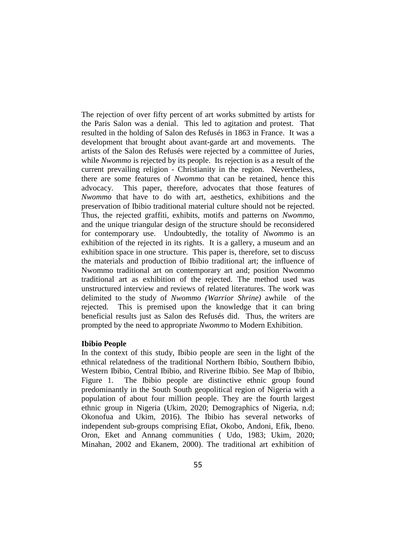The rejection of over fifty percent of art works submitted by artists for the Paris Salon was a denial. This led to agitation and protest. That resulted in the holding of Salon des Refusés in 1863 in France. It was a development that brought about avant-garde art and movements. The artists of the Salon des Refusés were rejected by a committee of Juries, while *Nwommo* is rejected by its people. Its rejection is as a result of the current prevailing religion - Christianity in the region. Nevertheless, there are some features of *Nwommo* that can be retained, hence this advocacy. This paper, therefore, advocates that those features of *Nwommo* that have to do with art, aesthetics, exhibitions and the preservation of Ibibio traditional material culture should not be rejected. Thus, the rejected graffiti, exhibits, motifs and patterns on *Nwommo*, and the unique triangular design of the structure should be reconsidered for contemporary use. Undoubtedly, the totality of *Nwommo* is an exhibition of the rejected in its rights. It is a gallery, a museum and an exhibition space in one structure. This paper is, therefore, set to discuss the materials and production of Ibibio traditional art; the influence of Nwommo traditional art on contemporary art and; position Nwommo traditional art as exhibition of the rejected. The method used was unstructured interview and reviews of related literatures. The work was delimited to the study of *Nwommo (Warrior Shrine)* awhile of the rejected. This is premised upon the knowledge that it can bring beneficial results just as Salon des Refusés did. Thus, the writers are prompted by the need to appropriate *Nwommo* to Modern Exhibition.

#### **Ibibio People**

In the context of this study, Ibibio people are seen in the light of the ethnical relatedness of the traditional Northern Ibibio, Southern Ibibio, Western Ibibio, Central Ibibio, and Riverine Ibibio. See Map of Ibibio, Figure 1. The Ibibio people are distinctive ethnic group found predominantly in the South South geopolitical region of Nigeria with a population of about four million people. They are the fourth largest ethnic group in Nigeria (Ukim, 2020; Demographics of Nigeria, n.d; Okonofua and Ukim, 2016). The Ibibio has several networks of independent sub-groups comprising Efiat, Okobo, Andoni, Efik, Ibeno. Oron, Eket and Annang communities ( Udo, 1983; Ukim, 2020; Minahan, 2002 and Ekanem, 2000). The traditional art exhibition of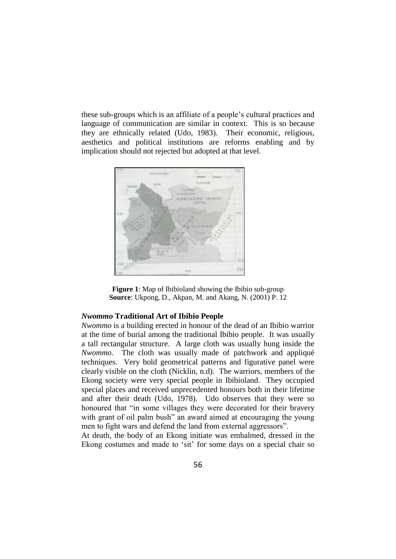these sub-groups which is an affiliate of a people"s cultural practices and language of communication are similar in context. This is so because they are ethnically related (Udo, 1983). Their economic, religious, aesthetics and political institutions are reforms enabling and by implication should not rejected but adopted at that level.





### *Nwommo* **Traditional Art of Ibibio People**

*Nwommo* is a building erected in honour of the dead of an Ibibio warrior at the time of burial among the traditional Ibibio people. It was usually a tall rectangular structure. A large cloth was usually hung inside the *Nwommo*. The cloth was usually made of patchwork and appliqué techniques. Very bold geometrical patterns and figurative panel were clearly visible on the cloth (Nicklin, n.d). The warriors, members of the Ekong society were very special people in Ibibioland. They occupied special places and received unprecedented honours both in their lifetime and after their death (Udo, 1978). Udo observes that they were so honoured that "in some villages they were decorated for their bravery with grant of oil palm bush" an award aimed at encouraging the young men to fight wars and defend the land from external aggressors".

At death, the body of an Ekong initiate was embalmed, dressed in the Ekong costumes and made to "sit" for some days on a special chair so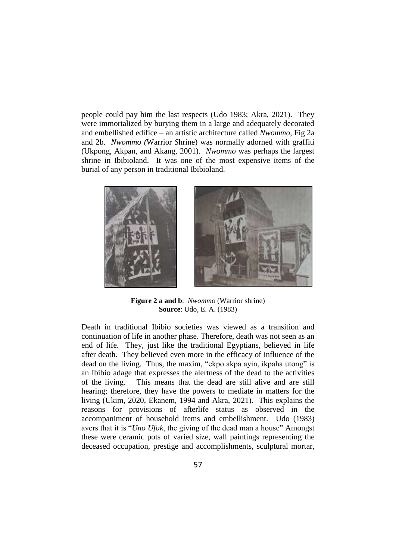people could pay him the last respects (Udo 1983; Akra, 2021). They were immortalized by burying them in a large and adequately decorated and embellished edifice – an artistic architecture called *Nwommo,* Fig 2a and 2b. *Nwommo (*Warrior *S*hrine) was normally adorned with graffiti (Ukpong, Akpan, and Akang, 2001). *Nwommo* was perhaps the largest shrine in Ibibioland. It was one of the most expensive items of the burial of any person in traditional Ibibioland.



**Figure 2 a and b**: *Nwommo* (Warrior shrine) **Source**: Udo, E. A. (1983)

Death in traditional Ibibio societies was viewed as a transition and continuation of life in another phase. Therefore, death was not seen as an end of life. They, just like the traditional Egyptians, believed in life after death. They believed even more in the efficacy of influence of the dead on the living. Thus, the maxim, "ekpo akpa ayin, ikpaha utong" is an Ibibio adage that expresses the alertness of the dead to the activities of the living. This means that the dead are still alive and are still hearing; therefore, they have the powers to mediate in matters for the living (Ukim, 2020, Ekanem, 1994 and Akra, 2021). This explains the reasons for provisions of afterlife status as observed in the accompaniment of household items and embellishment. Udo (1983) avers that it is "*Uno Ufok*, the giving of the dead man a house" Amongst these were ceramic pots of varied size, wall paintings representing the deceased occupation, prestige and accomplishments, sculptural mortar,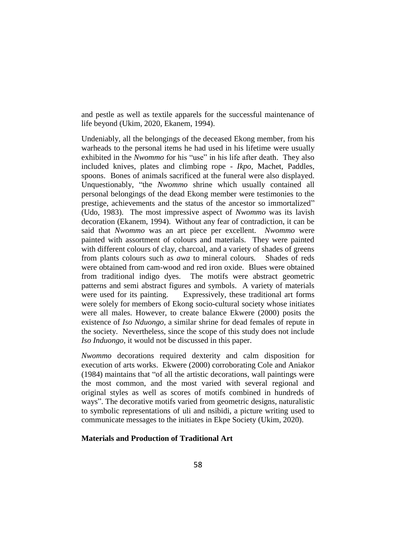and pestle as well as textile apparels for the successful maintenance of life beyond (Ukim, 2020, Ekanem, 1994).

Undeniably, all the belongings of the deceased Ekong member, from his warheads to the personal items he had used in his lifetime were usually exhibited in the *Nwommo* for his "use" in his life after death. They also included knives, plates and climbing rope - *Ikpo*, Machet, Paddles, spoons. Bones of animals sacrificed at the funeral were also displayed. Unquestionably, "the *Nwommo* shrine which usually contained all personal belongings of the dead Ekong member were testimonies to the prestige, achievements and the status of the ancestor so immortalized" (Udo, 1983). The most impressive aspect of *Nwommo* was its lavish decoration (Ekanem, 1994). Without any fear of contradiction, it can be said that *Nwommo* was an art piece per excellent. *Nwommo* were painted with assortment of colours and materials. They were painted with different colours of clay, charcoal, and a variety of shades of greens from plants colours such as *awa* to mineral colours*.* Shades of reds were obtained from cam-wood and red iron oxide. Blues were obtained from traditional indigo dyes. The motifs were abstract geometric patterns and semi abstract figures and symbols. A variety of materials were used for its painting. Expressively, these traditional art forms were solely for members of Ekong socio-cultural society whose initiates were all males. However, to create balance Ekwere (2000) posits the existence of *Iso Nduongo,* a similar shrine for dead females of repute in the society. Nevertheless, since the scope of this study does not include *Iso Induongo*, it would not be discussed in this paper.

*Nwommo* decorations required dexterity and calm disposition for execution of arts works. Ekwere (2000) corroborating Cole and Aniakor (1984) maintains that "of all the artistic decorations, wall paintings were the most common, and the most varied with several regional and original styles as well as scores of motifs combined in hundreds of ways". The decorative motifs varied from geometric designs, naturalistic to symbolic representations of uli and nsibidi, a picture writing used to communicate messages to the initiates in Ekpe Society (Ukim, 2020).

## **Materials and Production of Traditional Art**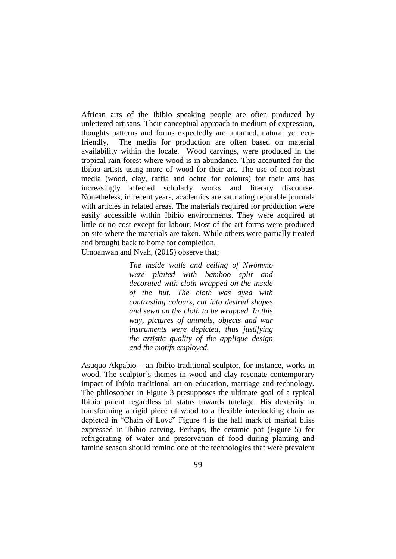African arts of the Ibibio speaking people are often produced by unlettered artisans. Their conceptual approach to medium of expression, thoughts patterns and forms expectedly are untamed, natural yet ecofriendly. The media for production are often based on material availability within the locale. Wood carvings, were produced in the tropical rain forest where wood is in abundance. This accounted for the Ibibio artists using more of wood for their art. The use of non-robust media (wood, clay, raffia and ochre for colours) for their arts has increasingly affected scholarly works and literary discourse. Nonetheless, in recent years, academics are saturating reputable journals with articles in related areas. The materials required for production were easily accessible within Ibibio environments. They were acquired at little or no cost except for labour. Most of the art forms were produced on site where the materials are taken. While others were partially treated and brought back to home for completion. Umoanwan and Nyah, (2015) observe that;

> *The inside walls and ceiling of Nwommo were plaited with bamboo split and decorated with cloth wrapped on the inside of the hut. The cloth was dyed with contrasting colours, cut into desired shapes and sewn on the cloth to be wrapped. In this way, pictures of animals, objects and war instruments were depicted, thus justifying the artistic quality of the applique design and the motifs employed.*

Asuquo Akpabio – an Ibibio traditional sculptor, for instance, works in wood. The sculptor's themes in wood and clay resonate contemporary impact of Ibibio traditional art on education, marriage and technology. The philosopher in Figure 3 presupposes the ultimate goal of a typical Ibibio parent regardless of status towards tutelage. His dexterity in transforming a rigid piece of wood to a flexible interlocking chain as depicted in "Chain of Love" Figure 4 is the hall mark of marital bliss expressed in Ibibio carving. Perhaps, the ceramic pot (Figure 5) for refrigerating of water and preservation of food during planting and famine season should remind one of the technologies that were prevalent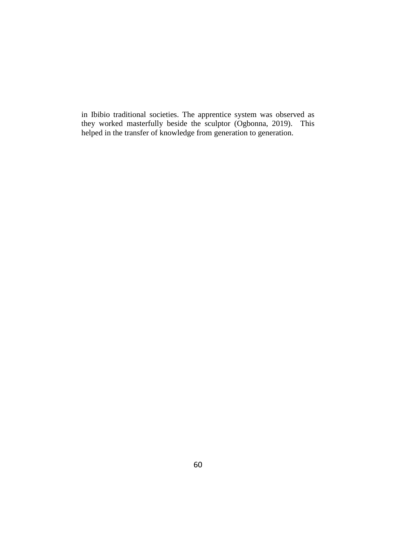in Ibibio traditional societies. The apprentice system was observed as they worked masterfully beside the sculptor (Ogbonna, 2019). This helped in the transfer of knowledge from generation to generation.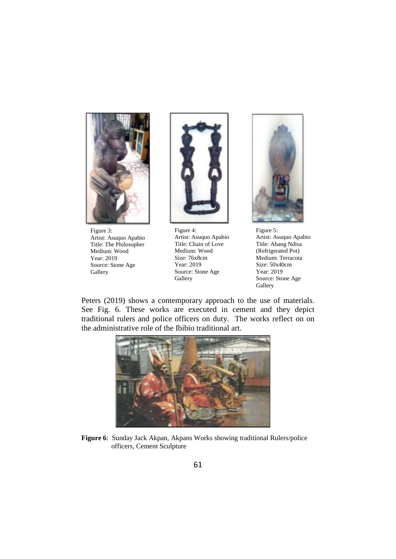

Figure 3: Artist: Asuquo Apabio Title: The Philosopher Medium: Wood Year: 2019 Source: Stone Age **Gallery** 



Figure 4: Artist: Asuquo Apabio Title: Chain of Love Medium: Wood Size: 76x8cm Year: 2019 Source: Stone Age **Gallery** 



Figure 5: Artist: Asuquo Apabio Title: Abang Ndisa (Refrigerated Pot) Medium: Terracota Size: 50x40cm Year: 2019 Source: Stone Age **Gallery** 

Peters (2019) shows a contemporary approach to the use of materials. See Fig. 6. These works are executed in cement and they depict traditional rulers and police officers on duty. The works reflect on on the administrative role of the Ibibio traditional art.



**Figure 6**: Sunday Jack Akpan, Akpans Works showing traditional Rulers/police officers, Cement Sculpture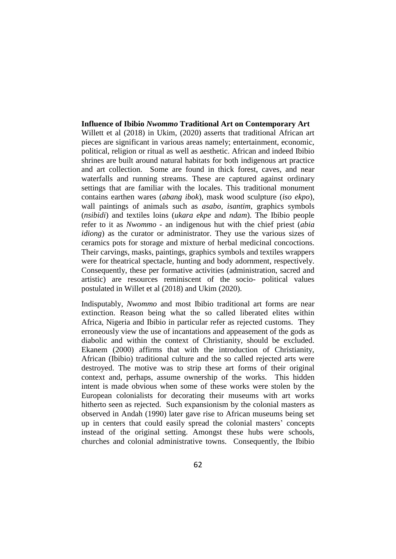### **Influence of Ibibio** *Nwommo* **Traditional Art on Contemporary Art**

Willett et al (2018) in Ukim, (2020) asserts that traditional African art pieces are significant in various areas namely; entertainment, economic, political, religion or ritual as well as aesthetic. African and indeed Ibibio shrines are built around natural habitats for both indigenous art practice and art collection. Some are found in thick forest, caves, and near waterfalls and running streams. These are captured against ordinary settings that are familiar with the locales. This traditional monument contains earthen wares (*abang ibok*), mask wood sculpture (*iso ekpo*), wall paintings of animals such as *asabo, isantim*, graphics symbols (*nsibidi*) and textiles loins (*ukara ekpe* and *ndam*). The Ibibio people refer to it as *Nwommo* - an indigenous hut with the chief priest (*abia idiong*) as the curator or administrator. They use the various sizes of ceramics pots for storage and mixture of herbal medicinal concoctions. Their carvings, masks, paintings, graphics symbols and textiles wrappers were for theatrical spectacle, hunting and body adornment, respectively. Consequently, these per formative activities (administration, sacred and artistic) are resources reminiscent of the socio- political values postulated in Willet et al (2018) and Ukim (2020).

Indisputably, *Nwommo* and most Ibibio traditional art forms are near extinction. Reason being what the so called liberated elites within Africa, Nigeria and Ibibio in particular refer as rejected customs. They erroneously view the use of incantations and appeasement of the gods as diabolic and within the context of Christianity, should be excluded. Ekanem (2000) affirms that with the introduction of Christianity, African (Ibibio) traditional culture and the so called rejected arts were destroyed. The motive was to strip these art forms of their original context and, perhaps, assume ownership of the works. This hidden intent is made obvious when some of these works were stolen by the European colonialists for decorating their museums with art works hitherto seen as rejected. Such expansionism by the colonial masters as observed in Andah (1990) later gave rise to African museums being set up in centers that could easily spread the colonial masters" concepts instead of the original setting. Amongst these hubs were schools, churches and colonial administrative towns. Consequently, the Ibibio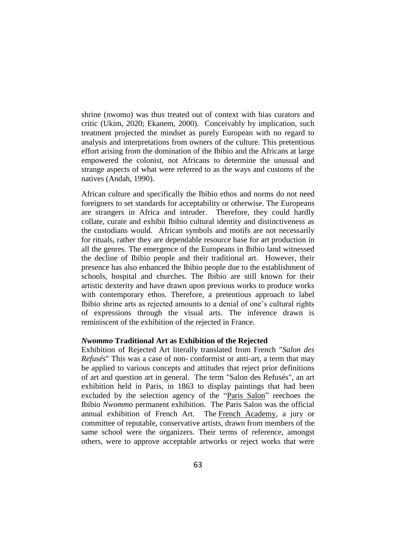shrine (nwomo) was thus treated out of context with bias curators and critic (Ukim, 2020; Ekanem, 2000). Conceivably by implication, such treatment projected the mindset as purely European with no regard to analysis and interpretations from owners of the culture. This pretentious effort arising from the domination of the Ibibio and the Africans at large empowered the colonist, not Africans to determine the unusual and strange aspects of what were referred to as the ways and customs of the natives (Andah, 1990).

African culture and specifically the Ibibio ethos and norms do not need foreigners to set standards for acceptability or otherwise. The Europeans are strangers in Africa and intruder. Therefore, they could hardly collate, curate and exhibit Ibibio cultural identity and distinctiveness as the custodians would. African symbols and motifs are not necessarily for rituals, rather they are dependable resource base for art production in all the genres. The emergence of the Europeans in Ibibio land witnessed the decline of Ibibio people and their traditional art. However, their presence has also enhanced the Ibibio people due to the establishment of schools, hospital and churches. The Ibibio are still known for their artistic dexterity and have drawn upon previous works to produce works with contemporary ethos. Therefore, a pretentious approach to label Ibibio shrine arts as rejected amounts to a denial of one"s cultural rights of expressions through the visual arts. The inference drawn is reminiscent of the exhibition of the rejected in France.

### *Nwommo* **Traditional Art as Exhibition of the Rejected**

Exhibition of Rejected Art literally translated from French "*Salon des Refusés*" This was a case of non- conformist or anti-art, a term that may be applied to various concepts and attitudes that reject prior definitions of art and question art in general. The term "Salon des Refusés", an art exhibition held in Paris, in 1863 to display paintings that had been excluded by the selection agency of the ["Paris Salon"](http://www.visual-arts-cork.com/history-of-art/salon-paris.htm) reechoes the Ibibio *Nwommo* permanent exhibition. The Paris Salon was the official annual exhibition of French Art. The [French Academy,](http://www.visual-arts-cork.com/history-of-art/french-academy.htm) a jury or committee of reputable, conservative artists, drawn from members of the same school were the organizers. Their terms of reference, amongst others, were to approve acceptable artworks or reject works that were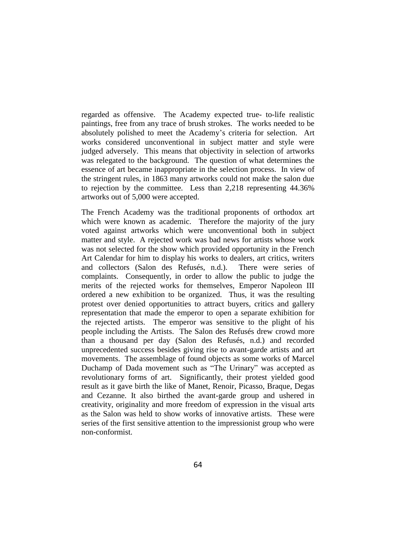regarded as offensive. The Academy expected true- to-life realistic paintings, free from any trace of brush strokes. The works needed to be absolutely polished to meet the Academy"s criteria for selection. Art works considered unconventional in subject matter and style were judged adversely. This means that objectivity in selection of artworks was relegated to the background. The question of what determines the essence of art became inappropriate in the selection process. In view of the stringent rules, in 1863 many artworks could not make the salon due to rejection by the committee. Less than 2,218 representing 44.36% artworks out of 5,000 were accepted.

The French Academy was the traditional proponents of orthodox art which were known as academic. Therefore the majority of the jury voted against artworks which were unconventional both in subject matter and style. A rejected work was bad news for artists whose work was not selected for the show which provided opportunity in the French Art Calendar for him to display his works to dealers, art critics, writers and collectors (Salon des Refusés, n.d.). There were series of complaints. Consequently, in order to allow the public to judge the merits of the rejected works for themselves, Emperor Napoleon III ordered a new exhibition to be organized. Thus, it was the resulting protest over denied opportunities to attract buyers, critics and gallery representation that made the emperor to open a separate exhibition for the rejected artists. The emperor was sensitive to the plight of his people including the Artists. The Salon des Refusés drew crowd more than a thousand per day (Salon des Refusés, n.d.) and recorded unprecedented success besides giving rise to avant-garde artists and art movements. The assemblage of found objects as some works of Marcel Duchamp of Dada movement such as "The Urinary" was accepted as revolutionary forms of art. Significantly, their protest yielded good result as it gave birth the like of Manet, Renoir, Picasso, Braque, Degas and Cezanne. It also birthed the avant-garde group and ushered in creativity, originality and more freedom of expression in the visual arts as the Salon was held to show works of innovative artists. These were series of the first sensitive attention to the impressionist group who were non-conformist.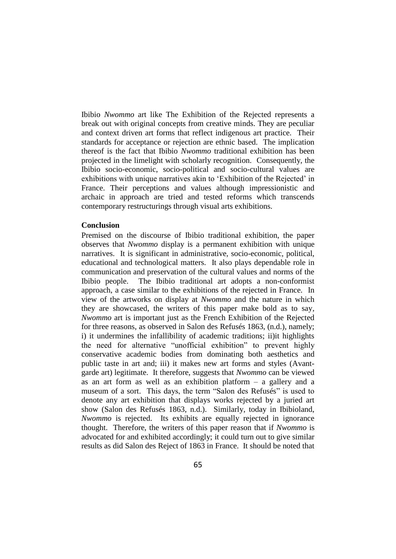Ibibio *Nwommo* art like The Exhibition of the Rejected represents a break out with original concepts from creative minds. They are peculiar and context driven art forms that reflect indigenous art practice. Their standards for acceptance or rejection are ethnic based. The implication thereof is the fact that Ibibio *Nwommo* traditional exhibition has been projected in the limelight with scholarly recognition. Consequently, the Ibibio socio-economic, socio-political and socio-cultural values are exhibitions with unique narratives akin to 'Exhibition of the Rejected' in France. Their perceptions and values although impressionistic and archaic in approach are tried and tested reforms which transcends contemporary restructurings through visual arts exhibitions.

#### **Conclusion**

Premised on the discourse of Ibibio traditional exhibition, the paper observes that *Nwommo* display is a permanent exhibition with unique narratives. It is significant in administrative, socio-economic, political, educational and technological matters. It also plays dependable role in communication and preservation of the cultural values and norms of the Ibibio people. The Ibibio traditional art adopts a non-conformist approach, a case similar to the exhibitions of the rejected in France. In view of the artworks on display at *Nwommo* and the nature in which they are showcased, the writers of this paper make bold as to say, *Nwommo* art is important just as the French Exhibition of the Rejected for three reasons, as observed in Salon des Refusés 1863, (n.d.), namely; i) it undermines the infallibility of academic traditions; ii)it highlights the need for alternative "unofficial exhibition" to prevent highly conservative academic bodies from dominating both aesthetics and public taste in art and; iii) it makes new art forms and styles (Avantgarde art) legitimate. It therefore, suggests that *Nwommo* can be viewed as an art form as well as an exhibition platform – a gallery and a museum of a sort. This days, the term "Salon des Refusés" is used to denote any art exhibition that displays works rejected by a juried art show (Salon des Refusés 1863, n.d.). Similarly, today in Ibibioland, *Nwommo* is rejected. Its exhibits are equally rejected in ignorance thought. Therefore, the writers of this paper reason that if *Nwommo* is advocated for and exhibited accordingly; it could turn out to give similar results as did Salon des Reject of 1863 in France. It should be noted that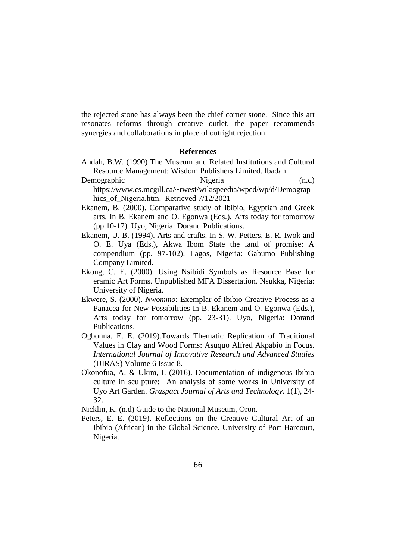the rejected stone has always been the chief corner stone. Since this art resonates reforms through creative outlet, the paper recommends synergies and collaborations in place of outright rejection.

#### **References**

- Andah, B.W. (1990) The Museum and Related Institutions and Cultural Resource Management: Wisdom Publishers Limited. Ibadan.
- Demographic Nigeria (n.d) [https://www.cs.mcgill.ca/~rwest/wikispeedia/wpcd/wp/d/Demograp](https://www.cs.mcgill.ca/~rwest/wikispeedia/wpcd/wp/d/Demographics_of_Nigeria.htm) [hics\\_of\\_Nigeria.htm.](https://www.cs.mcgill.ca/~rwest/wikispeedia/wpcd/wp/d/Demographics_of_Nigeria.htm) Retrieved 7/12/2021
- Ekanem, B. (2000). Comparative study of Ibibio, Egyptian and Greek arts. In B. Ekanem and O. Egonwa (Eds.), Arts today for tomorrow (pp.10-17). Uyo, Nigeria: Dorand Publications.
- Ekanem, U. B. (1994). Arts and crafts. In S. W. Petters, E. R. Iwok and O. E. Uya (Eds.), Akwa Ibom State the land of promise: A compendium (pp. 97-102). Lagos, Nigeria: Gabumo Publishing Company Limited.
- Ekong, C. E. (2000). Using Nsibidi Symbols as Resource Base for eramic Art Forms. Unpublished MFA Dissertation. Nsukka, Nigeria: University of Nigeria.
- Ekwere, S. (2000). *Nwommo*: Exemplar of Ibibio Creative Process as a Panacea for New Possibilities In B. Ekanem and O. Egonwa (Eds.), Arts today for tomorrow (pp. 23-31). Uyo, Nigeria: Dorand Publications.
- Ogbonna, E. E. (2019).Towards Thematic Replication of Traditional Values in Clay and Wood Forms: Asuquo Alfred Akpabio in Focus. *International Journal of Innovative Research and Advanced Studies*  (IJIRAS) Volume 6 Issue 8.
- Okonofua, A. & Ukim, I. (2016). Documentation of indigenous Ibibio culture in sculpture: An analysis of some works in University of Uyo Art Garden. *Graspact Journal of Arts and Technology*. 1(1), 24- 32.
- Nicklin, K. (n.d) Guide to the National Museum, Oron.
- Peters, E. E. (2019). Reflections on the Creative Cultural Art of an Ibibio (African) in the Global Science. University of Port Harcourt, Nigeria.